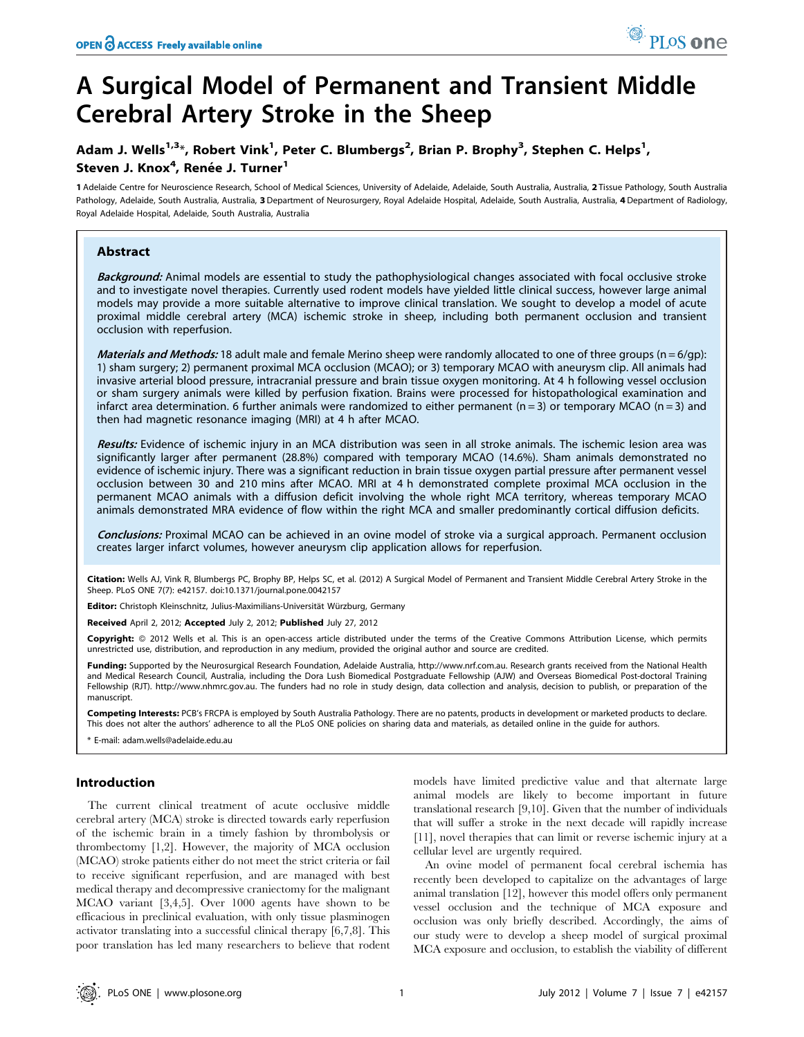# A Surgical Model of Permanent and Transient Middle Cerebral Artery Stroke in the Sheep

# Adam J. Wells $^{1,3_\ast}$ , Robert Vink $^1$ , Peter C. Blumbergs $^2$ , Brian P. Brophy $^3$ , Stephen C. Helps $^1$ , Steven J. Knox<sup>4</sup>, Renée J. Turner<sup>1</sup>

1 Adelaide Centre for Neuroscience Research, School of Medical Sciences, University of Adelaide, Adelaide, South Australia, Australia, 2 Tissue Pathology, South Australia Pathology, Adelaide, South Australia, Australia, 3 Department of Neurosurgery, Royal Adelaide Hospital, Adelaide, South Australia, Australia, 4 Department of Radiology, Royal Adelaide Hospital, Adelaide, South Australia, Australia

# Abstract

Background: Animal models are essential to study the pathophysiological changes associated with focal occlusive stroke and to investigate novel therapies. Currently used rodent models have yielded little clinical success, however large animal models may provide a more suitable alternative to improve clinical translation. We sought to develop a model of acute proximal middle cerebral artery (MCA) ischemic stroke in sheep, including both permanent occlusion and transient occlusion with reperfusion.

*Materials and Methods:* 18 adult male and female Merino sheep were randomly allocated to one of three groups (n = 6/qp): 1) sham surgery; 2) permanent proximal MCA occlusion (MCAO); or 3) temporary MCAO with aneurysm clip. All animals had invasive arterial blood pressure, intracranial pressure and brain tissue oxygen monitoring. At 4 h following vessel occlusion or sham surgery animals were killed by perfusion fixation. Brains were processed for histopathological examination and infarct area determination. 6 further animals were randomized to either permanent ( $n = 3$ ) or temporary MCAO ( $n = 3$ ) and then had magnetic resonance imaging (MRI) at 4 h after MCAO.

Results: Evidence of ischemic injury in an MCA distribution was seen in all stroke animals. The ischemic lesion area was significantly larger after permanent (28.8%) compared with temporary MCAO (14.6%). Sham animals demonstrated no evidence of ischemic injury. There was a significant reduction in brain tissue oxygen partial pressure after permanent vessel occlusion between 30 and 210 mins after MCAO. MRI at 4 h demonstrated complete proximal MCA occlusion in the permanent MCAO animals with a diffusion deficit involving the whole right MCA territory, whereas temporary MCAO animals demonstrated MRA evidence of flow within the right MCA and smaller predominantly cortical diffusion deficits.

Conclusions: Proximal MCAO can be achieved in an ovine model of stroke via a surgical approach. Permanent occlusion creates larger infarct volumes, however aneurysm clip application allows for reperfusion.

Citation: Wells AJ, Vink R, Blumbergs PC, Brophy BP, Helps SC, et al. (2012) A Surgical Model of Permanent and Transient Middle Cerebral Artery Stroke in the Sheep. PLoS ONE 7(7): e42157. doi:10.1371/journal.pone.0042157

Editor: Christoph Kleinschnitz, Julius-Maximilians-Universität Würzburg, Germany

Received April 2, 2012; Accepted July 2, 2012; Published July 27, 2012

Copyright: © 2012 Wells et al. This is an open-access article distributed under the terms of the Creative Commons Attribution License, which permits unrestricted use, distribution, and reproduction in any medium, provided the original author and source are credited.

Funding: Supported by the Neurosurgical Research Foundation, Adelaide Australia, http://www.nrf.com.au. Research grants received from the National Health and Medical Research Council, Australia, including the Dora Lush Biomedical Postgraduate Fellowship (AJW) and Overseas Biomedical Post-doctoral Training Fellowship (RJT). http://www.nhmrc.gov.au. The funders had no role in study design, data collection and analysis, decision to publish, or preparation of the manuscript.

Competing Interests: PCB's FRCPA is employed by South Australia Pathology. There are no patents, products in development or marketed products to declare. This does not alter the authors' adherence to all the PLoS ONE policies on sharing data and materials, as detailed online in the guide for authors.

\* E-mail: adam.wells@adelaide.edu.au

# Introduction

The current clinical treatment of acute occlusive middle cerebral artery (MCA) stroke is directed towards early reperfusion of the ischemic brain in a timely fashion by thrombolysis or thrombectomy [1,2]. However, the majority of MCA occlusion (MCAO) stroke patients either do not meet the strict criteria or fail to receive significant reperfusion, and are managed with best medical therapy and decompressive craniectomy for the malignant MCAO variant [3,4,5]. Over 1000 agents have shown to be efficacious in preclinical evaluation, with only tissue plasminogen activator translating into a successful clinical therapy [6,7,8]. This poor translation has led many researchers to believe that rodent models have limited predictive value and that alternate large animal models are likely to become important in future translational research [9,10]. Given that the number of individuals that will suffer a stroke in the next decade will rapidly increase [11], novel therapies that can limit or reverse ischemic injury at a cellular level are urgently required.

An ovine model of permanent focal cerebral ischemia has recently been developed to capitalize on the advantages of large animal translation [12], however this model offers only permanent vessel occlusion and the technique of MCA exposure and occlusion was only briefly described. Accordingly, the aims of our study were to develop a sheep model of surgical proximal MCA exposure and occlusion, to establish the viability of different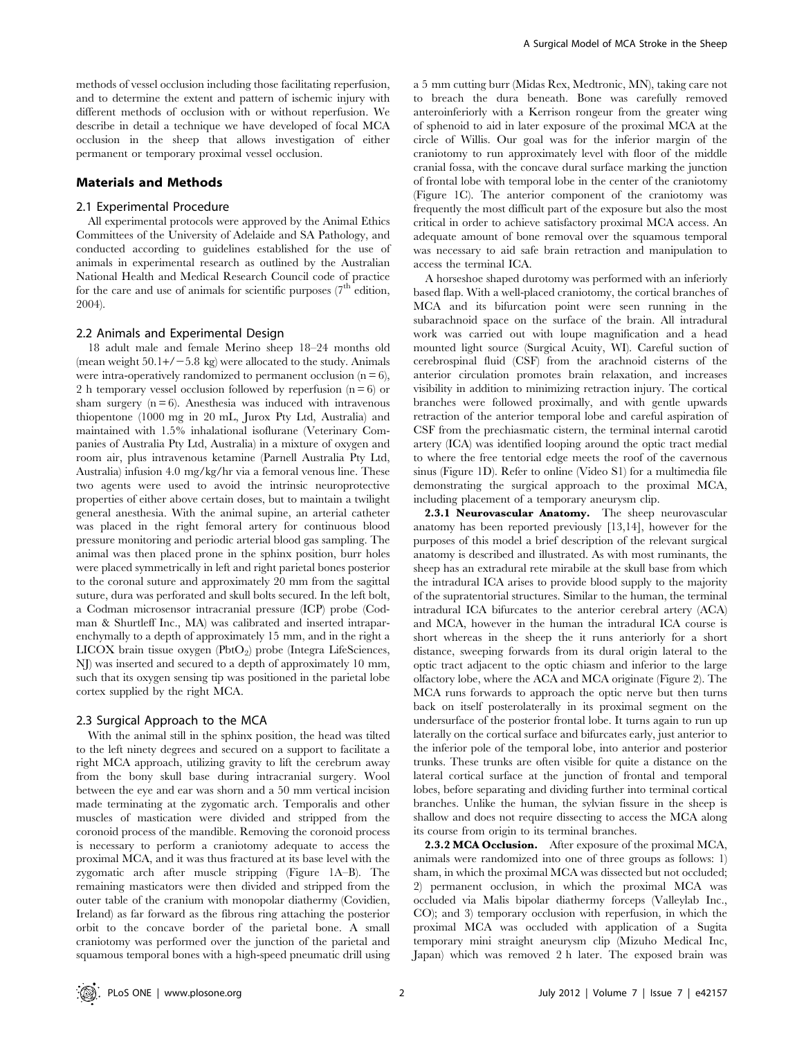methods of vessel occlusion including those facilitating reperfusion, and to determine the extent and pattern of ischemic injury with different methods of occlusion with or without reperfusion. We describe in detail a technique we have developed of focal MCA occlusion in the sheep that allows investigation of either permanent or temporary proximal vessel occlusion.

#### Materials and Methods

#### 2.1 Experimental Procedure

All experimental protocols were approved by the Animal Ethics Committees of the University of Adelaide and SA Pathology, and conducted according to guidelines established for the use of animals in experimental research as outlined by the Australian National Health and Medical Research Council code of practice for the care and use of animals for scientific purposes  $(7<sup>th</sup>$  edition, 2004).

#### 2.2 Animals and Experimental Design

18 adult male and female Merino sheep 18–24 months old (mean weight  $50.1+/-5.8$  kg) were allocated to the study. Animals were intra-operatively randomized to permanent occlusion  $(n = 6)$ , 2 h temporary vessel occlusion followed by reperfusion  $(n = 6)$  or sham surgery  $(n = 6)$ . Anesthesia was induced with intravenous thiopentone (1000 mg in 20 mL, Jurox Pty Ltd, Australia) and maintained with 1.5% inhalational isoflurane (Veterinary Companies of Australia Pty Ltd, Australia) in a mixture of oxygen and room air, plus intravenous ketamine (Parnell Australia Pty Ltd, Australia) infusion 4.0 mg/kg/hr via a femoral venous line. These two agents were used to avoid the intrinsic neuroprotective properties of either above certain doses, but to maintain a twilight general anesthesia. With the animal supine, an arterial catheter was placed in the right femoral artery for continuous blood pressure monitoring and periodic arterial blood gas sampling. The animal was then placed prone in the sphinx position, burr holes were placed symmetrically in left and right parietal bones posterior to the coronal suture and approximately 20 mm from the sagittal suture, dura was perforated and skull bolts secured. In the left bolt, a Codman microsensor intracranial pressure (ICP) probe (Codman & Shurtleff Inc., MA) was calibrated and inserted intraparenchymally to a depth of approximately 15 mm, and in the right a LICOX brain tissue oxygen (PbtO<sub>2</sub>) probe (Integra LifeSciences, NJ) was inserted and secured to a depth of approximately 10 mm, such that its oxygen sensing tip was positioned in the parietal lobe cortex supplied by the right MCA.

#### 2.3 Surgical Approach to the MCA

With the animal still in the sphinx position, the head was tilted to the left ninety degrees and secured on a support to facilitate a right MCA approach, utilizing gravity to lift the cerebrum away from the bony skull base during intracranial surgery. Wool between the eye and ear was shorn and a 50 mm vertical incision made terminating at the zygomatic arch. Temporalis and other muscles of mastication were divided and stripped from the coronoid process of the mandible. Removing the coronoid process is necessary to perform a craniotomy adequate to access the proximal MCA, and it was thus fractured at its base level with the zygomatic arch after muscle stripping (Figure 1A–B). The remaining masticators were then divided and stripped from the outer table of the cranium with monopolar diathermy (Covidien, Ireland) as far forward as the fibrous ring attaching the posterior orbit to the concave border of the parietal bone. A small craniotomy was performed over the junction of the parietal and squamous temporal bones with a high-speed pneumatic drill using a 5 mm cutting burr (Midas Rex, Medtronic, MN), taking care not to breach the dura beneath. Bone was carefully removed anteroinferiorly with a Kerrison rongeur from the greater wing of sphenoid to aid in later exposure of the proximal MCA at the circle of Willis. Our goal was for the inferior margin of the craniotomy to run approximately level with floor of the middle cranial fossa, with the concave dural surface marking the junction of frontal lobe with temporal lobe in the center of the craniotomy (Figure 1C). The anterior component of the craniotomy was frequently the most difficult part of the exposure but also the most critical in order to achieve satisfactory proximal MCA access. An adequate amount of bone removal over the squamous temporal was necessary to aid safe brain retraction and manipulation to access the terminal ICA.

A horseshoe shaped durotomy was performed with an inferiorly based flap. With a well-placed craniotomy, the cortical branches of MCA and its bifurcation point were seen running in the subarachnoid space on the surface of the brain. All intradural work was carried out with loupe magnification and a head mounted light source (Surgical Acuity, WI). Careful suction of cerebrospinal fluid (CSF) from the arachnoid cisterns of the anterior circulation promotes brain relaxation, and increases visibility in addition to minimizing retraction injury. The cortical branches were followed proximally, and with gentle upwards retraction of the anterior temporal lobe and careful aspiration of CSF from the prechiasmatic cistern, the terminal internal carotid artery (ICA) was identified looping around the optic tract medial to where the free tentorial edge meets the roof of the cavernous sinus (Figure 1D). Refer to online (Video S1) for a multimedia file demonstrating the surgical approach to the proximal MCA, including placement of a temporary aneurysm clip.

2.3.1 Neurovascular Anatomy. The sheep neurovascular anatomy has been reported previously [13,14], however for the purposes of this model a brief description of the relevant surgical anatomy is described and illustrated. As with most ruminants, the sheep has an extradural rete mirabile at the skull base from which the intradural ICA arises to provide blood supply to the majority of the supratentorial structures. Similar to the human, the terminal intradural ICA bifurcates to the anterior cerebral artery (ACA) and MCA, however in the human the intradural ICA course is short whereas in the sheep the it runs anteriorly for a short distance, sweeping forwards from its dural origin lateral to the optic tract adjacent to the optic chiasm and inferior to the large olfactory lobe, where the ACA and MCA originate (Figure 2). The MCA runs forwards to approach the optic nerve but then turns back on itself posterolaterally in its proximal segment on the undersurface of the posterior frontal lobe. It turns again to run up laterally on the cortical surface and bifurcates early, just anterior to the inferior pole of the temporal lobe, into anterior and posterior trunks. These trunks are often visible for quite a distance on the lateral cortical surface at the junction of frontal and temporal lobes, before separating and dividing further into terminal cortical branches. Unlike the human, the sylvian fissure in the sheep is shallow and does not require dissecting to access the MCA along its course from origin to its terminal branches.

2.3.2 MCA Occlusion. After exposure of the proximal MCA, animals were randomized into one of three groups as follows: 1) sham, in which the proximal MCA was dissected but not occluded; 2) permanent occlusion, in which the proximal MCA was occluded via Malis bipolar diathermy forceps (Valleylab Inc., CO); and 3) temporary occlusion with reperfusion, in which the proximal MCA was occluded with application of a Sugita temporary mini straight aneurysm clip (Mizuho Medical Inc, Japan) which was removed 2 h later. The exposed brain was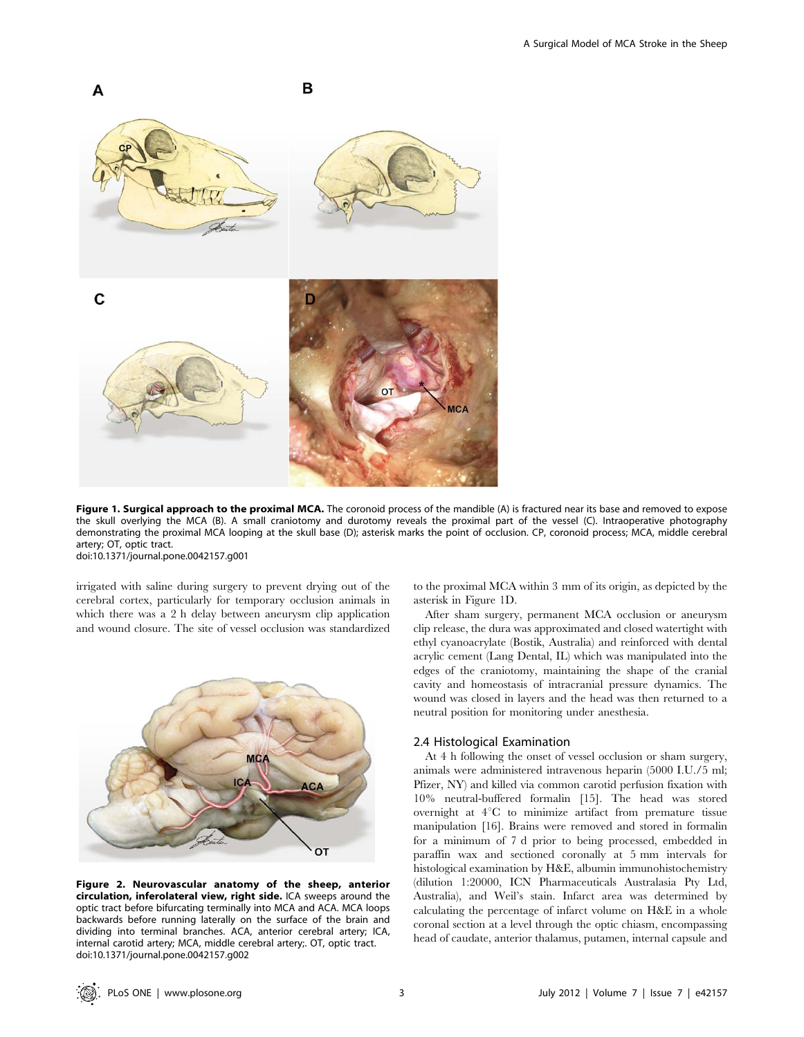

Figure 1. Surgical approach to the proximal MCA. The coronoid process of the mandible (A) is fractured near its base and removed to expose the skull overlying the MCA (B). A small craniotomy and durotomy reveals the proximal part of the vessel (C). Intraoperative photography demonstrating the proximal MCA looping at the skull base (D); asterisk marks the point of occlusion. CP, coronoid process; MCA, middle cerebral artery; OT, optic tract. doi:10.1371/journal.pone.0042157.g001

irrigated with saline during surgery to prevent drying out of the cerebral cortex, particularly for temporary occlusion animals in which there was a 2 h delay between aneurysm clip application and wound closure. The site of vessel occlusion was standardized



Figure 2. Neurovascular anatomy of the sheep, anterior circulation, inferolateral view, right side. ICA sweeps around the optic tract before bifurcating terminally into MCA and ACA. MCA loops backwards before running laterally on the surface of the brain and dividing into terminal branches. ACA, anterior cerebral artery; ICA, internal carotid artery; MCA, middle cerebral artery;. OT, optic tract. doi:10.1371/journal.pone.0042157.g002

to the proximal MCA within 3 mm of its origin, as depicted by the asterisk in Figure 1D.

After sham surgery, permanent MCA occlusion or aneurysm clip release, the dura was approximated and closed watertight with ethyl cyanoacrylate (Bostik, Australia) and reinforced with dental acrylic cement (Lang Dental, IL) which was manipulated into the edges of the craniotomy, maintaining the shape of the cranial cavity and homeostasis of intracranial pressure dynamics. The wound was closed in layers and the head was then returned to a neutral position for monitoring under anesthesia.

#### 2.4 Histological Examination

At 4 h following the onset of vessel occlusion or sham surgery, animals were administered intravenous heparin (5000 I.U./5 ml; Pfizer, NY) and killed via common carotid perfusion fixation with 10% neutral-buffered formalin [15]. The head was stored overnight at  $4^{\circ}$ C to minimize artifact from premature tissue manipulation [16]. Brains were removed and stored in formalin for a minimum of 7 d prior to being processed, embedded in paraffin wax and sectioned coronally at 5 mm intervals for histological examination by H&E, albumin immunohistochemistry (dilution 1:20000, ICN Pharmaceuticals Australasia Pty Ltd, Australia), and Weil's stain. Infarct area was determined by calculating the percentage of infarct volume on H&E in a whole coronal section at a level through the optic chiasm, encompassing head of caudate, anterior thalamus, putamen, internal capsule and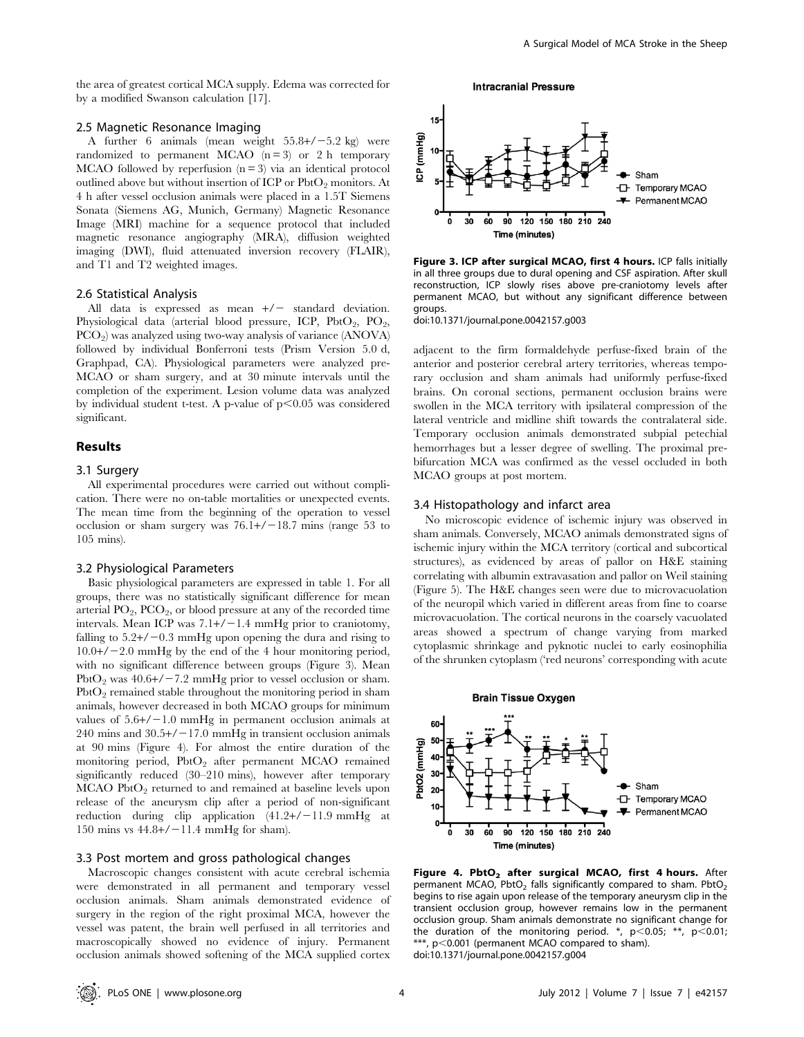the area of greatest cortical MCA supply. Edema was corrected for by a modified Swanson calculation [17].

### 2.5 Magnetic Resonance Imaging

A further 6 animals (mean weight  $55.8+/-5.2$  kg) were randomized to permanent MCAO  $(n=3)$  or 2 h temporary MCAO followed by reperfusion  $(n = 3)$  via an identical protocol outlined above but without insertion of ICP or  $P$ bt $O_2$  monitors. At 4 h after vessel occlusion animals were placed in a 1.5T Siemens Sonata (Siemens AG, Munich, Germany) Magnetic Resonance Image (MRI) machine for a sequence protocol that included magnetic resonance angiography (MRA), diffusion weighted imaging (DWI), fluid attenuated inversion recovery (FLAIR), and T1 and T2 weighted images.

# 2.6 Statistical Analysis

All data is expressed as mean  $+/-$  standard deviation. Physiological data (arterial blood pressure, ICP, PbtO<sub>2</sub>, PO<sub>2</sub>,  $PCO<sub>2</sub>$ ) was analyzed using two-way analysis of variance (ANOVA) followed by individual Bonferroni tests (Prism Version 5.0 d, Graphpad, CA). Physiological parameters were analyzed pre-MCAO or sham surgery, and at 30 minute intervals until the completion of the experiment. Lesion volume data was analyzed by individual student t-test. A p-value of  $p<0.05$  was considered significant.

#### Results

# 3.1 Surgery

All experimental procedures were carried out without complication. There were no on-table mortalities or unexpected events. The mean time from the beginning of the operation to vessel occlusion or sham surgery was  $76.1+/-18.7$  mins (range 53 to 105 mins).

#### 3.2 Physiological Parameters

Basic physiological parameters are expressed in table 1. For all groups, there was no statistically significant difference for mean arterial  $PO_2$ ,  $PCO_2$ , or blood pressure at any of the recorded time intervals. Mean ICP was  $7.1+/-1.4$  mmHg prior to craniotomy, falling to  $5.2+/-0.3$  mmHg upon opening the dura and rising to  $10.0+/-2.0$  mmHg by the end of the 4 hour monitoring period, with no significant difference between groups (Figure 3). Mean PbtO<sub>2</sub> was  $40.6+/-7.2$  mmHg prior to vessel occlusion or sham.  $PbtO<sub>2</sub> remained stable throughout the monitoring period in sham$ animals, however decreased in both MCAO groups for minimum values of  $5.6+/-1.0$  mmHg in permanent occlusion animals at 240 mins and  $30.5+/-17.0$  mmHg in transient occlusion animals at 90 mins (Figure 4). For almost the entire duration of the monitoring period, PbtO<sub>2</sub> after permanent MCAO remained significantly reduced (30–210 mins), however after temporary  $MCAO$  Pbt $O<sub>2</sub>$  returned to and remained at baseline levels upon release of the aneurysm clip after a period of non-significant reduction during clip application  $(41.2+/-11.9 \text{ mmHg}$  at 150 mins vs  $44.8+/-11.4$  mmHg for sham).

#### 3.3 Post mortem and gross pathological changes

Macroscopic changes consistent with acute cerebral ischemia were demonstrated in all permanent and temporary vessel occlusion animals. Sham animals demonstrated evidence of surgery in the region of the right proximal MCA, however the vessel was patent, the brain well perfused in all territories and macroscopically showed no evidence of injury. Permanent occlusion animals showed softening of the MCA supplied cortex **Intracranial Pressure** 



Figure 3. ICP after surgical MCAO, first 4 hours. ICP falls initially in all three groups due to dural opening and CSF aspiration. After skull reconstruction, ICP slowly rises above pre-craniotomy levels after permanent MCAO, but without any significant difference between groups.

doi:10.1371/journal.pone.0042157.g003

adjacent to the firm formaldehyde perfuse-fixed brain of the anterior and posterior cerebral artery territories, whereas temporary occlusion and sham animals had uniformly perfuse-fixed brains. On coronal sections, permanent occlusion brains were swollen in the MCA territory with ipsilateral compression of the lateral ventricle and midline shift towards the contralateral side. Temporary occlusion animals demonstrated subpial petechial hemorrhages but a lesser degree of swelling. The proximal prebifurcation MCA was confirmed as the vessel occluded in both MCAO groups at post mortem.

#### 3.4 Histopathology and infarct area

No microscopic evidence of ischemic injury was observed in sham animals. Conversely, MCAO animals demonstrated signs of ischemic injury within the MCA territory (cortical and subcortical structures), as evidenced by areas of pallor on H&E staining correlating with albumin extravasation and pallor on Weil staining (Figure 5). The H&E changes seen were due to microvacuolation of the neuropil which varied in different areas from fine to coarse microvacuolation. The cortical neurons in the coarsely vacuolated areas showed a spectrum of change varying from marked cytoplasmic shrinkage and pyknotic nuclei to early eosinophilia of the shrunken cytoplasm ('red neurons' corresponding with acute

#### **Brain Tissue Oxygen**



Figure 4. PbtO<sub>2</sub> after surgical MCAO, first 4 hours. After permanent MCAO, PbtO<sub>2</sub> falls significantly compared to sham. PbtO<sub>2</sub> begins to rise again upon release of the temporary aneurysm clip in the transient occlusion group, however remains low in the permanent occlusion group. Sham animals demonstrate no significant change for the duration of the monitoring period. \*,  $p$ <0.05; \*\*,  $p$ <0.01;  $***$ , p $<$ 0.001 (permanent MCAO compared to sham). doi:10.1371/journal.pone.0042157.g004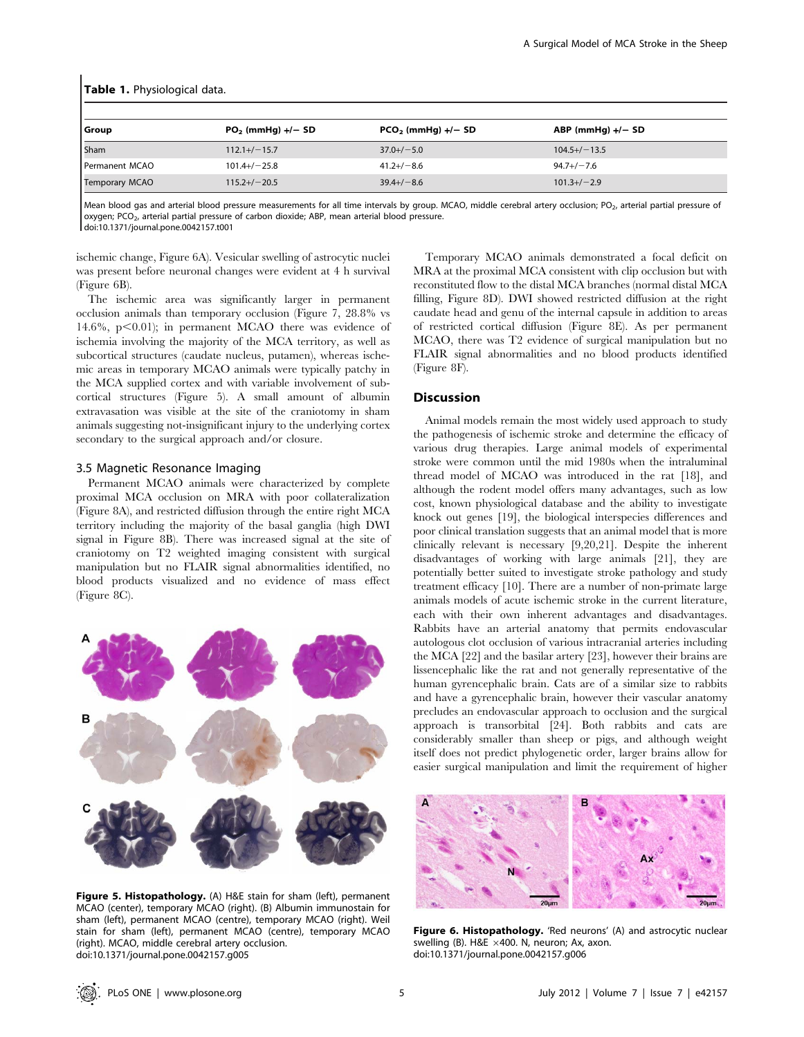| Group                 | $PO2$ (mmHg) +/- SD | $PCO2$ (mmHg) $+/-$ SD | ABP (mmHg) $+/-$ SD |
|-----------------------|---------------------|------------------------|---------------------|
| Sham                  | $112.1+/-15.7$      | $37.0+/-5.0$           | $104.5+/-13.5$      |
| Permanent MCAO        | $101.4+/-25.8$      | $41.2+/-8.6$           | $94.7+/-7.6$        |
| <b>Temporary MCAO</b> | $115.2+/-20.5$      | $39.4+/-8.6$           | $101.3+/-2.9$       |

Table 1. Physiological data.

Mean blood gas and arterial blood pressure measurements for all time intervals by group. MCAO, middle cerebral artery occlusion; PO<sub>2</sub>, arterial partial pressure of oxygen; PCO<sub>2</sub>, arterial partial pressure of carbon dioxide; ABP, mean arterial blood pressure.

doi:10.1371/journal.pone.0042157.t001

ischemic change, Figure 6A). Vesicular swelling of astrocytic nuclei was present before neuronal changes were evident at 4 h survival (Figure 6B).

The ischemic area was significantly larger in permanent occlusion animals than temporary occlusion (Figure 7, 28.8% vs 14.6%, p $\leq$ 0.01); in permanent MCAO there was evidence of ischemia involving the majority of the MCA territory, as well as subcortical structures (caudate nucleus, putamen), whereas ischemic areas in temporary MCAO animals were typically patchy in the MCA supplied cortex and with variable involvement of subcortical structures (Figure 5). A small amount of albumin extravasation was visible at the site of the craniotomy in sham animals suggesting not-insignificant injury to the underlying cortex secondary to the surgical approach and/or closure.

#### 3.5 Magnetic Resonance Imaging

Permanent MCAO animals were characterized by complete proximal MCA occlusion on MRA with poor collateralization (Figure 8A), and restricted diffusion through the entire right MCA territory including the majority of the basal ganglia (high DWI signal in Figure 8B). There was increased signal at the site of craniotomy on T2 weighted imaging consistent with surgical manipulation but no FLAIR signal abnormalities identified, no blood products visualized and no evidence of mass effect (Figure 8C).



Figure 5. Histopathology. (A) H&E stain for sham (left), permanent MCAO (center), temporary MCAO (right). (B) Albumin immunostain for sham (left), permanent MCAO (centre), temporary MCAO (right). Weil stain for sham (left), permanent MCAO (centre), temporary MCAO (right). MCAO, middle cerebral artery occlusion. doi:10.1371/journal.pone.0042157.g005

Temporary MCAO animals demonstrated a focal deficit on MRA at the proximal MCA consistent with clip occlusion but with reconstituted flow to the distal MCA branches (normal distal MCA filling, Figure 8D). DWI showed restricted diffusion at the right caudate head and genu of the internal capsule in addition to areas of restricted cortical diffusion (Figure 8E). As per permanent MCAO, there was T2 evidence of surgical manipulation but no FLAIR signal abnormalities and no blood products identified (Figure 8F).

# **Discussion**

Animal models remain the most widely used approach to study the pathogenesis of ischemic stroke and determine the efficacy of various drug therapies. Large animal models of experimental stroke were common until the mid 1980s when the intraluminal thread model of MCAO was introduced in the rat [18], and although the rodent model offers many advantages, such as low cost, known physiological database and the ability to investigate knock out genes [19], the biological interspecies differences and poor clinical translation suggests that an animal model that is more clinically relevant is necessary [9,20,21]. Despite the inherent disadvantages of working with large animals [21], they are potentially better suited to investigate stroke pathology and study treatment efficacy [10]. There are a number of non-primate large animals models of acute ischemic stroke in the current literature, each with their own inherent advantages and disadvantages. Rabbits have an arterial anatomy that permits endovascular autologous clot occlusion of various intracranial arteries including the MCA [22] and the basilar artery [23], however their brains are lissencephalic like the rat and not generally representative of the human gyrencephalic brain. Cats are of a similar size to rabbits and have a gyrencephalic brain, however their vascular anatomy precludes an endovascular approach to occlusion and the surgical approach is transorbital [24]. Both rabbits and cats are considerably smaller than sheep or pigs, and although weight itself does not predict phylogenetic order, larger brains allow for easier surgical manipulation and limit the requirement of higher



Figure 6. Histopathology. 'Red neurons' (A) and astrocytic nuclear swelling (B). H&E  $\times$ 400. N, neuron; Ax, axon. doi:10.1371/journal.pone.0042157.g006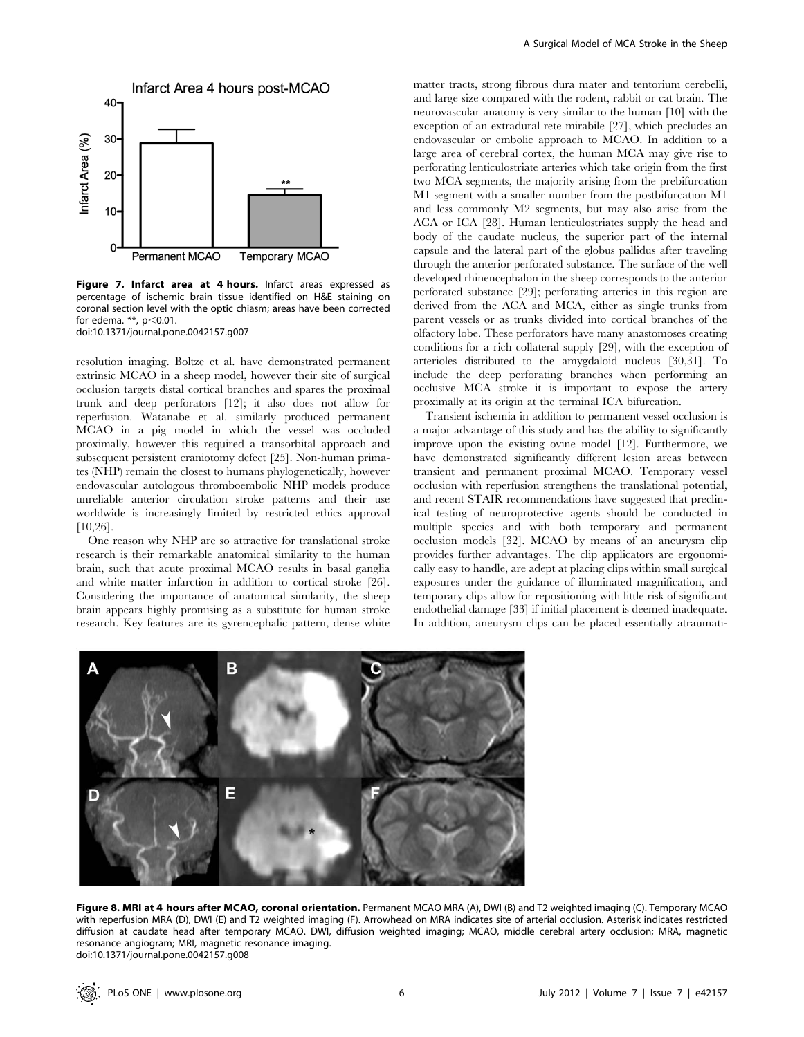

Figure 7. Infarct area at 4 hours. Infarct areas expressed as percentage of ischemic brain tissue identified on H&E staining on coronal section level with the optic chiasm; areas have been corrected for edema. \*\*,  $p<0.01$ . doi:10.1371/journal.pone.0042157.g007

resolution imaging. Boltze et al. have demonstrated permanent extrinsic MCAO in a sheep model, however their site of surgical occlusion targets distal cortical branches and spares the proximal trunk and deep perforators [12]; it also does not allow for reperfusion. Watanabe et al. similarly produced permanent MCAO in a pig model in which the vessel was occluded proximally, however this required a transorbital approach and subsequent persistent craniotomy defect [25]. Non-human primates (NHP) remain the closest to humans phylogenetically, however endovascular autologous thromboembolic NHP models produce unreliable anterior circulation stroke patterns and their use worldwide is increasingly limited by restricted ethics approval [10,26].

One reason why NHP are so attractive for translational stroke research is their remarkable anatomical similarity to the human brain, such that acute proximal MCAO results in basal ganglia and white matter infarction in addition to cortical stroke [26]. Considering the importance of anatomical similarity, the sheep brain appears highly promising as a substitute for human stroke research. Key features are its gyrencephalic pattern, dense white

matter tracts, strong fibrous dura mater and tentorium cerebelli, and large size compared with the rodent, rabbit or cat brain. The neurovascular anatomy is very similar to the human [10] with the exception of an extradural rete mirabile [27], which precludes an endovascular or embolic approach to MCAO. In addition to a large area of cerebral cortex, the human MCA may give rise to perforating lenticulostriate arteries which take origin from the first two MCA segments, the majority arising from the prebifurcation M1 segment with a smaller number from the postbifurcation M1 and less commonly M2 segments, but may also arise from the ACA or ICA [28]. Human lenticulostriates supply the head and body of the caudate nucleus, the superior part of the internal capsule and the lateral part of the globus pallidus after traveling through the anterior perforated substance. The surface of the well developed rhinencephalon in the sheep corresponds to the anterior perforated substance [29]; perforating arteries in this region are derived from the ACA and MCA, either as single trunks from parent vessels or as trunks divided into cortical branches of the olfactory lobe. These perforators have many anastomoses creating conditions for a rich collateral supply [29], with the exception of arterioles distributed to the amygdaloid nucleus [30,31]. To include the deep perforating branches when performing an occlusive MCA stroke it is important to expose the artery proximally at its origin at the terminal ICA bifurcation.

Transient ischemia in addition to permanent vessel occlusion is a major advantage of this study and has the ability to significantly improve upon the existing ovine model [12]. Furthermore, we have demonstrated significantly different lesion areas between transient and permanent proximal MCAO. Temporary vessel occlusion with reperfusion strengthens the translational potential, and recent STAIR recommendations have suggested that preclinical testing of neuroprotective agents should be conducted in multiple species and with both temporary and permanent occlusion models [32]. MCAO by means of an aneurysm clip provides further advantages. The clip applicators are ergonomically easy to handle, are adept at placing clips within small surgical exposures under the guidance of illuminated magnification, and temporary clips allow for repositioning with little risk of significant endothelial damage [33] if initial placement is deemed inadequate. In addition, aneurysm clips can be placed essentially atraumati-



Figure 8. MRI at 4 hours after MCAO, coronal orientation. Permanent MCAO MRA (A), DWI (B) and T2 weighted imaging (C). Temporary MCAO with reperfusion MRA (D), DWI (E) and T2 weighted imaging (F). Arrowhead on MRA indicates site of arterial occlusion. Asterisk indicates restricted diffusion at caudate head after temporary MCAO. DWI, diffusion weighted imaging; MCAO, middle cerebral artery occlusion; MRA, magnetic resonance angiogram; MRI, magnetic resonance imaging. doi:10.1371/journal.pone.0042157.g008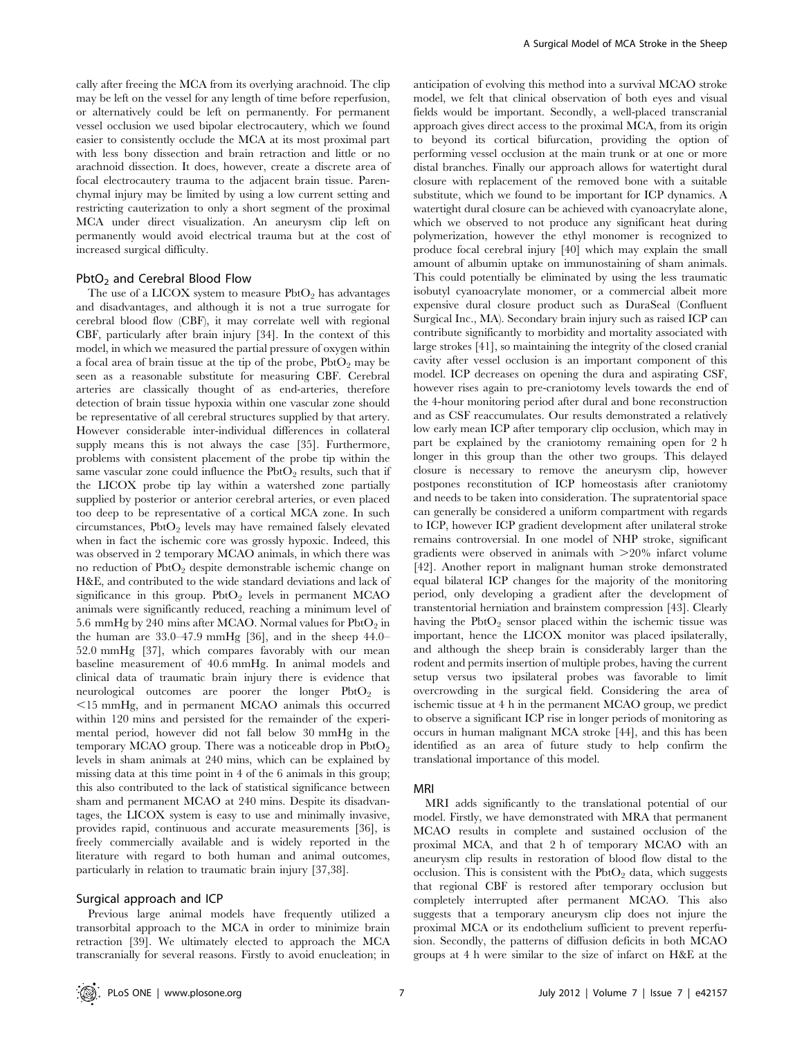cally after freeing the MCA from its overlying arachnoid. The clip may be left on the vessel for any length of time before reperfusion, or alternatively could be left on permanently. For permanent vessel occlusion we used bipolar electrocautery, which we found easier to consistently occlude the MCA at its most proximal part with less bony dissection and brain retraction and little or no arachnoid dissection. It does, however, create a discrete area of focal electrocautery trauma to the adjacent brain tissue. Parenchymal injury may be limited by using a low current setting and restricting cauterization to only a short segment of the proximal MCA under direct visualization. An aneurysm clip left on permanently would avoid electrical trauma but at the cost of increased surgical difficulty.

#### PbtO<sub>2</sub> and Cerebral Blood Flow

The use of a LICOX system to measure  $PbtO<sub>2</sub>$  has advantages and disadvantages, and although it is not a true surrogate for cerebral blood flow (CBF), it may correlate well with regional CBF, particularly after brain injury [34]. In the context of this model, in which we measured the partial pressure of oxygen within a focal area of brain tissue at the tip of the probe,  $Pb$ t $O_2$  may be seen as a reasonable substitute for measuring CBF. Cerebral arteries are classically thought of as end-arteries, therefore detection of brain tissue hypoxia within one vascular zone should be representative of all cerebral structures supplied by that artery. However considerable inter-individual differences in collateral supply means this is not always the case [35]. Furthermore, problems with consistent placement of the probe tip within the same vascular zone could influence the  $Pb$ t $O_2$  results, such that if the LICOX probe tip lay within a watershed zone partially supplied by posterior or anterior cerebral arteries, or even placed too deep to be representative of a cortical MCA zone. In such circumstances,  $PbtO<sub>2</sub>$  levels may have remained falsely elevated when in fact the ischemic core was grossly hypoxic. Indeed, this was observed in 2 temporary MCAO animals, in which there was no reduction of  $Pb$ t $O_2$  despite demonstrable ischemic change on H&E, and contributed to the wide standard deviations and lack of significance in this group.  $PbtO<sub>2</sub>$  levels in permanent MCAO animals were significantly reduced, reaching a minimum level of 5.6 mmHg by 240 mins after MCAO. Normal values for  $PbtO<sub>2</sub>$  in the human are 33.0–47.9 mmHg [36], and in the sheep 44.0– 52.0 mmHg [37], which compares favorably with our mean baseline measurement of 40.6 mmHg. In animal models and clinical data of traumatic brain injury there is evidence that neurological outcomes are poorer the longer  $Pb$ tO<sub>2</sub> is  $\leq$ 15 mmHg, and in permanent MCAO animals this occurred within 120 mins and persisted for the remainder of the experimental period, however did not fall below 30 mmHg in the temporary MCAO group. There was a noticeable drop in  $Pb$ tO<sub>2</sub> levels in sham animals at 240 mins, which can be explained by missing data at this time point in 4 of the 6 animals in this group; this also contributed to the lack of statistical significance between sham and permanent MCAO at 240 mins. Despite its disadvantages, the LICOX system is easy to use and minimally invasive, provides rapid, continuous and accurate measurements [36], is freely commercially available and is widely reported in the literature with regard to both human and animal outcomes, particularly in relation to traumatic brain injury [37,38].

# Surgical approach and ICP

Previous large animal models have frequently utilized a transorbital approach to the MCA in order to minimize brain retraction [39]. We ultimately elected to approach the MCA transcranially for several reasons. Firstly to avoid enucleation; in

anticipation of evolving this method into a survival MCAO stroke model, we felt that clinical observation of both eyes and visual fields would be important. Secondly, a well-placed transcranial approach gives direct access to the proximal MCA, from its origin to beyond its cortical bifurcation, providing the option of performing vessel occlusion at the main trunk or at one or more distal branches. Finally our approach allows for watertight dural closure with replacement of the removed bone with a suitable substitute, which we found to be important for ICP dynamics. A watertight dural closure can be achieved with cyanoacrylate alone, which we observed to not produce any significant heat during polymerization, however the ethyl monomer is recognized to produce focal cerebral injury [40] which may explain the small amount of albumin uptake on immunostaining of sham animals. This could potentially be eliminated by using the less traumatic isobutyl cyanoacrylate monomer, or a commercial albeit more expensive dural closure product such as DuraSeal (Confluent Surgical Inc., MA). Secondary brain injury such as raised ICP can contribute significantly to morbidity and mortality associated with large strokes [41], so maintaining the integrity of the closed cranial cavity after vessel occlusion is an important component of this model. ICP decreases on opening the dura and aspirating CSF, however rises again to pre-craniotomy levels towards the end of the 4-hour monitoring period after dural and bone reconstruction and as CSF reaccumulates. Our results demonstrated a relatively low early mean ICP after temporary clip occlusion, which may in part be explained by the craniotomy remaining open for 2 h longer in this group than the other two groups. This delayed closure is necessary to remove the aneurysm clip, however postpones reconstitution of ICP homeostasis after craniotomy and needs to be taken into consideration. The supratentorial space can generally be considered a uniform compartment with regards to ICP, however ICP gradient development after unilateral stroke remains controversial. In one model of NHP stroke, significant gradients were observed in animals with  $>20\%$  infarct volume [42]. Another report in malignant human stroke demonstrated equal bilateral ICP changes for the majority of the monitoring period, only developing a gradient after the development of transtentorial herniation and brainstem compression [43]. Clearly having the  $Pb$ t $O<sub>2</sub>$  sensor placed within the ischemic tissue was important, hence the LICOX monitor was placed ipsilaterally, and although the sheep brain is considerably larger than the rodent and permits insertion of multiple probes, having the current setup versus two ipsilateral probes was favorable to limit overcrowding in the surgical field. Considering the area of ischemic tissue at 4 h in the permanent MCAO group, we predict to observe a significant ICP rise in longer periods of monitoring as occurs in human malignant MCA stroke [44], and this has been identified as an area of future study to help confirm the translational importance of this model.

#### MRI

MRI adds significantly to the translational potential of our model. Firstly, we have demonstrated with MRA that permanent MCAO results in complete and sustained occlusion of the proximal MCA, and that 2 h of temporary MCAO with an aneurysm clip results in restoration of blood flow distal to the occlusion. This is consistent with the  $PbtO<sub>2</sub>$  data, which suggests that regional CBF is restored after temporary occlusion but completely interrupted after permanent MCAO. This also suggests that a temporary aneurysm clip does not injure the proximal MCA or its endothelium sufficient to prevent reperfusion. Secondly, the patterns of diffusion deficits in both MCAO groups at 4 h were similar to the size of infarct on H&E at the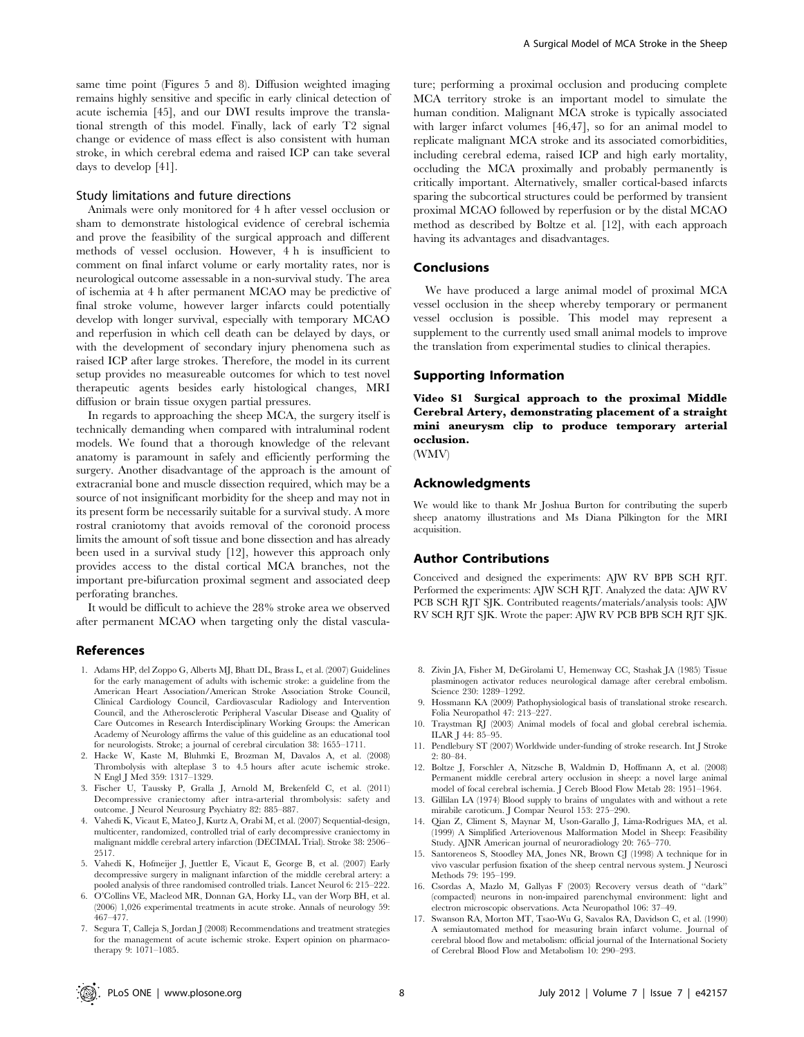same time point (Figures 5 and 8). Diffusion weighted imaging remains highly sensitive and specific in early clinical detection of acute ischemia [45], and our DWI results improve the translational strength of this model. Finally, lack of early T2 signal change or evidence of mass effect is also consistent with human stroke, in which cerebral edema and raised ICP can take several days to develop [41].

#### Study limitations and future directions

Animals were only monitored for 4 h after vessel occlusion or sham to demonstrate histological evidence of cerebral ischemia and prove the feasibility of the surgical approach and different methods of vessel occlusion. However, 4 h is insufficient to comment on final infarct volume or early mortality rates, nor is neurological outcome assessable in a non-survival study. The area of ischemia at 4 h after permanent MCAO may be predictive of final stroke volume, however larger infarcts could potentially develop with longer survival, especially with temporary MCAO and reperfusion in which cell death can be delayed by days, or with the development of secondary injury phenomena such as raised ICP after large strokes. Therefore, the model in its current setup provides no measureable outcomes for which to test novel therapeutic agents besides early histological changes, MRI diffusion or brain tissue oxygen partial pressures.

In regards to approaching the sheep MCA, the surgery itself is technically demanding when compared with intraluminal rodent models. We found that a thorough knowledge of the relevant anatomy is paramount in safely and efficiently performing the surgery. Another disadvantage of the approach is the amount of extracranial bone and muscle dissection required, which may be a source of not insignificant morbidity for the sheep and may not in its present form be necessarily suitable for a survival study. A more rostral craniotomy that avoids removal of the coronoid process limits the amount of soft tissue and bone dissection and has already been used in a survival study [12], however this approach only provides access to the distal cortical MCA branches, not the important pre-bifurcation proximal segment and associated deep perforating branches.

It would be difficult to achieve the 28% stroke area we observed after permanent MCAO when targeting only the distal vascula-

#### References

- 1. Adams HP, del Zoppo G, Alberts MJ, Bhatt DL, Brass L, et al. (2007) Guidelines for the early management of adults with ischemic stroke: a guideline from the American Heart Association/American Stroke Association Stroke Council, Clinical Cardiology Council, Cardiovascular Radiology and Intervention Council, and the Atherosclerotic Peripheral Vascular Disease and Quality of Care Outcomes in Research Interdisciplinary Working Groups: the American Academy of Neurology affirms the value of this guideline as an educational tool for neurologists. Stroke; a journal of cerebral circulation 38: 1655–1711.
- 2. Hacke W, Kaste M, Bluhmki E, Brozman M, Davalos A, et al. (2008) Thrombolysis with alteplase 3 to 4.5 hours after acute ischemic stroke. N Engl J Med 359: 1317–1329.
- 3. Fischer U, Taussky P, Gralla J, Arnold M, Brekenfeld C, et al. (2011) Decompressive craniectomy after intra-arterial thrombolysis: safety and outcome. J Neurol Neurosurg Psychiatry 82: 885–887.
- 4. Vahedi K, Vicaut E, Mateo J, Kurtz A, Orabi M, et al. (2007) Sequential-design, multicenter, randomized, controlled trial of early decompressive craniectomy in malignant middle cerebral artery infarction (DECIMAL Trial). Stroke 38: 2506– 2517.
- 5. Vahedi K, Hofmeijer J, Juettler E, Vicaut E, George B, et al. (2007) Early decompressive surgery in malignant infarction of the middle cerebral artery: a pooled analysis of three randomised controlled trials. Lancet Neurol 6: 215–222.
- 6. O'Collins VE, Macleod MR, Donnan GA, Horky LL, van der Worp BH, et al. (2006) 1,026 experimental treatments in acute stroke. Annals of neurology 59: 467–477.
- 7. Segura T, Calleja S, Jordan J (2008) Recommendations and treatment strategies for the management of acute ischemic stroke. Expert opinion on pharmacotherapy 9: 1071–1085.

ture; performing a proximal occlusion and producing complete MCA territory stroke is an important model to simulate the human condition. Malignant MCA stroke is typically associated with larger infarct volumes [46,47], so for an animal model to replicate malignant MCA stroke and its associated comorbidities, including cerebral edema, raised ICP and high early mortality, occluding the MCA proximally and probably permanently is critically important. Alternatively, smaller cortical-based infarcts sparing the subcortical structures could be performed by transient proximal MCAO followed by reperfusion or by the distal MCAO method as described by Boltze et al. [12], with each approach having its advantages and disadvantages.

#### Conclusions

We have produced a large animal model of proximal MCA vessel occlusion in the sheep whereby temporary or permanent vessel occlusion is possible. This model may represent a supplement to the currently used small animal models to improve the translation from experimental studies to clinical therapies.

#### Supporting Information

Video S1 Surgical approach to the proximal Middle Cerebral Artery, demonstrating placement of a straight mini aneurysm clip to produce temporary arterial occlusion.

(WMV)

### Acknowledgments

We would like to thank Mr Joshua Burton for contributing the superb sheep anatomy illustrations and Ms Diana Pilkington for the MRI acquisition.

#### Author Contributions

Conceived and designed the experiments: AJW RV BPB SCH RJT. Performed the experiments: AJW SCH RJT. Analyzed the data: AJW RV PCB SCH RJT SJK. Contributed reagents/materials/analysis tools: AJW RV SCH RJT SJK. Wrote the paper: AJW RV PCB BPB SCH RJT SJK.

- 8. Zivin JA, Fisher M, DeGirolami U, Hemenway CC, Stashak JA (1985) Tissue plasminogen activator reduces neurological damage after cerebral embolism. Science 230: 1289–1292.
- 9. Hossmann KA (2009) Pathophysiological basis of translational stroke research. Folia Neuropathol 47: 213–227.
- 10. Traystman RJ (2003) Animal models of focal and global cerebral ischemia. ILAR J 44: 85–95.
- 11. Pendlebury ST (2007) Worldwide under-funding of stroke research. Int J Stroke 2: 80–84.
- 12. Boltze J, Forschler A, Nitzsche B, Waldmin D, Hoffmann A, et al. (2008) Permanent middle cerebral artery occlusion in sheep: a novel large animal model of focal cerebral ischemia. J Cereb Blood Flow Metab 28: 1951–1964.
- 13. Gillilan LA (1974) Blood supply to brains of ungulates with and without a rete mirabile caroticum. J Compar Neurol 153: 275–290.
- 14. Qian Z, Climent S, Maynar M, Uson-Garallo J, Lima-Rodrigues MA, et al. (1999) A Simplified Arteriovenous Malformation Model in Sheep: Feasibility Study. AJNR American journal of neuroradiology 20: 765–770.
- 15. Santoreneos S, Stoodley MA, Jones NR, Brown CJ (1998) A technique for in vivo vascular perfusion fixation of the sheep central nervous system. J Neurosci Methods 79: 195–199.
- 16. Csordas A, Mazlo M, Gallyas F (2003) Recovery versus death of ''dark'' (compacted) neurons in non-impaired parenchymal environment: light and electron microscopic observations. Acta Neuropathol 106: 37–49.
- 17. Swanson RA, Morton MT, Tsao-Wu G, Savalos RA, Davidson C, et al. (1990) A semiautomated method for measuring brain infarct volume. Journal of cerebral blood flow and metabolism: official journal of the International Society of Cerebral Blood Flow and Metabolism 10: 290–293.